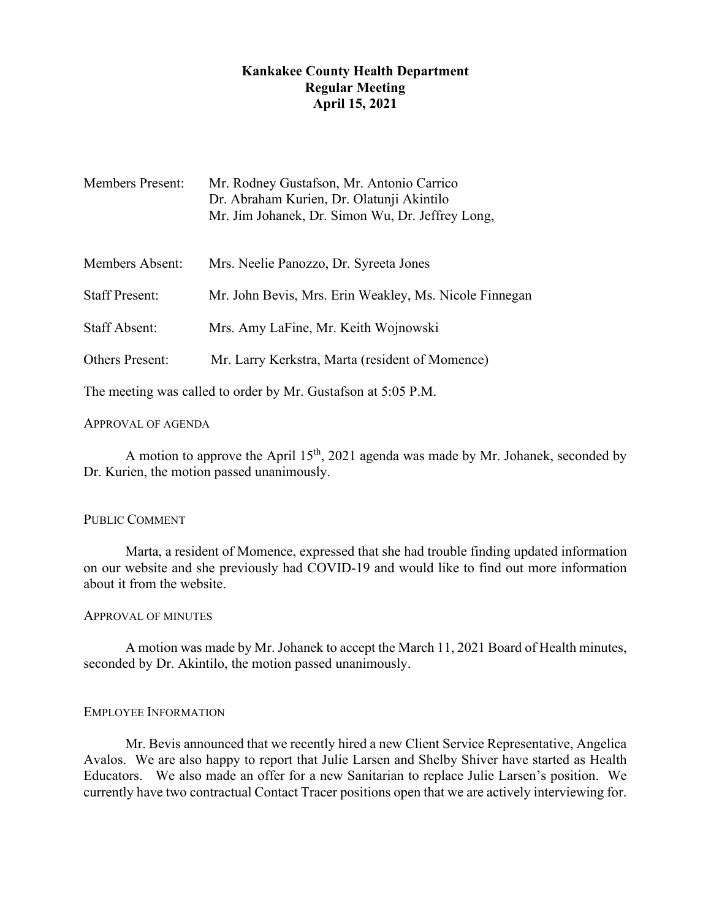# **Kankakee County Health Department Regular Meeting April 15, 2021**

| <b>Members Present:</b> | Mr. Rodney Gustafson, Mr. Antonio Carrico<br>Dr. Abraham Kurien, Dr. Olatunji Akintilo<br>Mr. Jim Johanek, Dr. Simon Wu, Dr. Jeffrey Long, |
|-------------------------|--------------------------------------------------------------------------------------------------------------------------------------------|
| Members Absent:         | Mrs. Neelie Panozzo, Dr. Syreeta Jones                                                                                                     |
| <b>Staff Present:</b>   | Mr. John Bevis, Mrs. Erin Weakley, Ms. Nicole Finnegan                                                                                     |
| <b>Staff Absent:</b>    | Mrs. Amy LaFine, Mr. Keith Wojnowski                                                                                                       |
| <b>Others Present:</b>  | Mr. Larry Kerkstra, Marta (resident of Momence)                                                                                            |

The meeting was called to order by Mr. Gustafson at 5:05 P.M.

# APPROVAL OF AGENDA

A motion to approve the April  $15<sup>th</sup>$ , 2021 agenda was made by Mr. Johanek, seconded by Dr. Kurien, the motion passed unanimously.

# PUBLIC COMMENT

Marta, a resident of Momence, expressed that she had trouble finding updated information on our website and she previously had COVID-19 and would like to find out more information about it from the website.

## APPROVAL OF MINUTES

A motion was made by Mr. Johanek to accept the March 11, 2021 Board of Health minutes, seconded by Dr. Akintilo, the motion passed unanimously.

# EMPLOYEE INFORMATION

Mr. Bevis announced that we recently hired a new Client Service Representative, Angelica Avalos. We are also happy to report that Julie Larsen and Shelby Shiver have started as Health Educators. We also made an offer for a new Sanitarian to replace Julie Larsen's position. We currently have two contractual Contact Tracer positions open that we are actively interviewing for.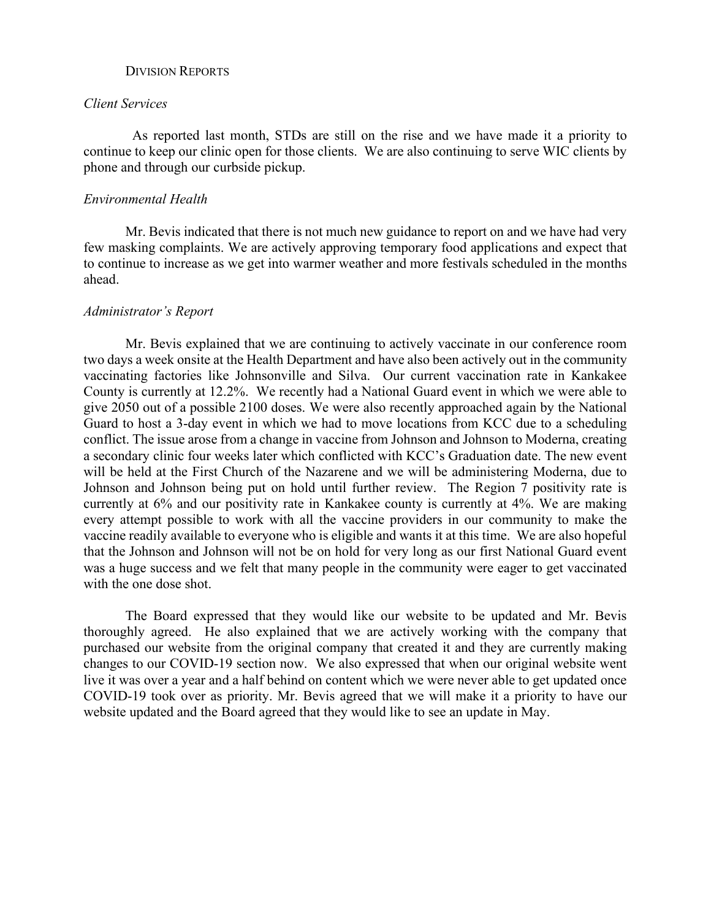#### DIVISION REPORTS

## *Client Services*

 As reported last month, STDs are still on the rise and we have made it a priority to continue to keep our clinic open for those clients. We are also continuing to serve WIC clients by phone and through our curbside pickup.

### *Environmental Health*

Mr. Bevis indicated that there is not much new guidance to report on and we have had very few masking complaints. We are actively approving temporary food applications and expect that to continue to increase as we get into warmer weather and more festivals scheduled in the months ahead.

#### *Administrator's Report*

Mr. Bevis explained that we are continuing to actively vaccinate in our conference room two days a week onsite at the Health Department and have also been actively out in the community vaccinating factories like Johnsonville and Silva. Our current vaccination rate in Kankakee County is currently at 12.2%. We recently had a National Guard event in which we were able to give 2050 out of a possible 2100 doses. We were also recently approached again by the National Guard to host a 3-day event in which we had to move locations from KCC due to a scheduling conflict. The issue arose from a change in vaccine from Johnson and Johnson to Moderna, creating a secondary clinic four weeks later which conflicted with KCC's Graduation date. The new event will be held at the First Church of the Nazarene and we will be administering Moderna, due to Johnson and Johnson being put on hold until further review. The Region 7 positivity rate is currently at 6% and our positivity rate in Kankakee county is currently at 4%. We are making every attempt possible to work with all the vaccine providers in our community to make the vaccine readily available to everyone who is eligible and wants it at this time. We are also hopeful that the Johnson and Johnson will not be on hold for very long as our first National Guard event was a huge success and we felt that many people in the community were eager to get vaccinated with the one dose shot.

The Board expressed that they would like our website to be updated and Mr. Bevis thoroughly agreed. He also explained that we are actively working with the company that purchased our website from the original company that created it and they are currently making changes to our COVID-19 section now. We also expressed that when our original website went live it was over a year and a half behind on content which we were never able to get updated once COVID-19 took over as priority. Mr. Bevis agreed that we will make it a priority to have our website updated and the Board agreed that they would like to see an update in May.